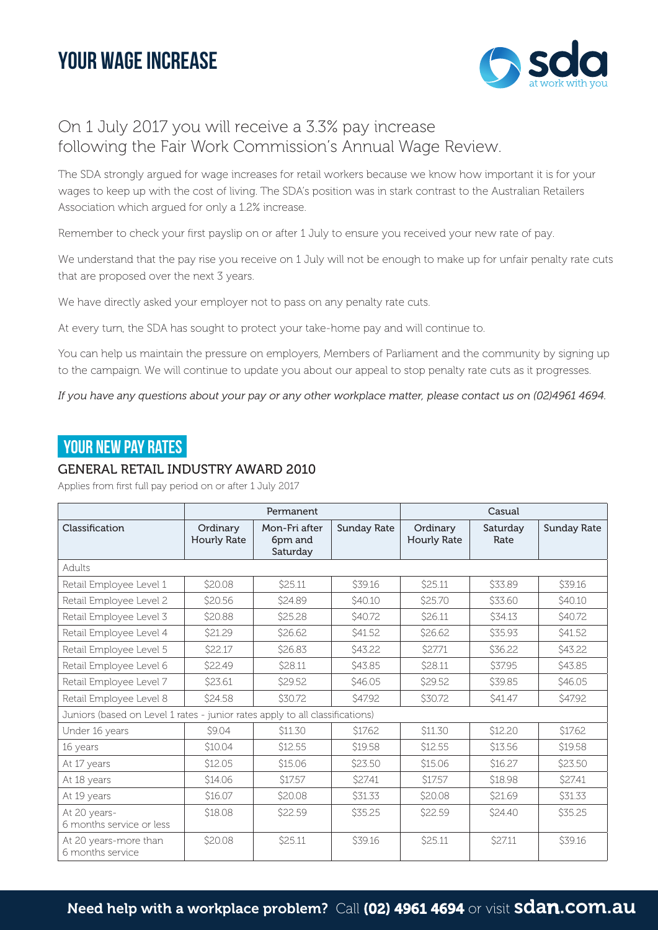# your WAGE INCREASE



# On 1 July 2017 you will receive a 3.3% pay increase following the Fair Work Commission's Annual Wage Review.

The SDA strongly argued for wage increases for retail workers because we know how important it is for your wages to keep up with the cost of living. The SDA's position was in stark contrast to the Australian Retailers Association which argued for only a 1.2% increase.

Remember to check your first payslip on or after 1 July to ensure you received your new rate of pay.

We understand that the pay rise you receive on 1 July will not be enough to make up for unfair penalty rate cuts that are proposed over the next 3 years.

We have directly asked your employer not to pass on any penalty rate cuts.

At every turn, the SDA has sought to protect your take-home pay and will continue to.

You can help us maintain the pressure on employers, Members of Parliament and the community by signing up to the campaign. We will continue to update you about our appeal to stop penalty rate cuts as it progresses.

*If you have any questions about your pay or any other workplace matter, please contact us on (02)4961 4694.* 

## **YOUR NEW PAY RATES**

#### GENERAL RETAIL INDUSTRY AWARD 2010

Applies from first full pay period on or after 1 July 2017

|                                                                              | Permanent               |                                      |                    | Casual                         |                  |                    |
|------------------------------------------------------------------------------|-------------------------|--------------------------------------|--------------------|--------------------------------|------------------|--------------------|
| Classification                                                               | Ordinary<br>Hourly Rate | Mon-Fri after<br>6pm and<br>Saturday | <b>Sunday Rate</b> | Ordinary<br><b>Hourly Rate</b> | Saturday<br>Rate | <b>Sunday Rate</b> |
| Adults                                                                       |                         |                                      |                    |                                |                  |                    |
| Retail Employee Level 1                                                      | \$20.08                 | \$25.11                              | \$39.16            | \$25.11                        | \$33.89          | \$39.16            |
| Retail Employee Level 2                                                      | \$20.56                 | \$24.89                              | <b>\$40.10</b>     | \$25.70                        | \$33.60          | \$40.10            |
| Retail Employee Level 3                                                      | \$20.88                 | \$25.28                              | \$40.72            | \$26.11                        | \$34.13          | \$40.72            |
| Retail Employee Level 4                                                      | \$21.29                 | \$26.62                              | \$41.52            | \$26.62                        | \$35.93          | \$41.52            |
| Retail Employee Level 5                                                      | \$22.17                 | \$26.83                              | S43.22             | \$27.71                        | \$36.22          | S43.22             |
| Retail Employee Level 6                                                      | \$22.49                 | \$28.11                              | S43.85             | \$28.11                        | \$37.95          | S43.85             |
| Retail Employee Level 7                                                      | \$23.61                 | \$29.52                              | \$46.05            | <b>\$29.52</b>                 | \$39.85          | \$46.05            |
| Retail Employee Level 8                                                      | \$24.58                 | \$30.72                              | <b>\$47.92</b>     | \$30.72                        | <b>\$41.47</b>   | <b>\$47.92</b>     |
| Juniors (based on Level 1 rates - junior rates apply to all classifications) |                         |                                      |                    |                                |                  |                    |
| Under 16 years                                                               | \$9.04                  | \$11.30                              | \$17.62            | \$11.30                        | \$12.20          | \$17.62            |
| 16 years                                                                     | \$10.04                 | \$12.55                              | \$19.58            | \$12.55                        | \$13.56          | \$19.58            |
| At 17 years                                                                  | \$12.05                 | \$15.06                              | \$23.50            | \$15.06                        | \$16.27          | \$23.50            |
| At 18 years                                                                  | \$14.06                 | \$17.57                              | \$27.41            | \$17.57                        | \$18.98          | \$27.41            |
| At 19 years                                                                  | \$16.07                 | \$20.08                              | \$31.33            | \$20.08                        | \$21.69          | \$31.33            |
| At 20 years-<br>6 months service or less                                     | \$18.08                 | \$22.59                              | \$35.25            | \$22.59                        | \$24.40          | \$35.25            |
| At 20 years-more than<br>6 months service                                    | \$20.08                 | \$25.11                              | \$39.16            | \$25.11                        | \$27.11          | \$39.16            |